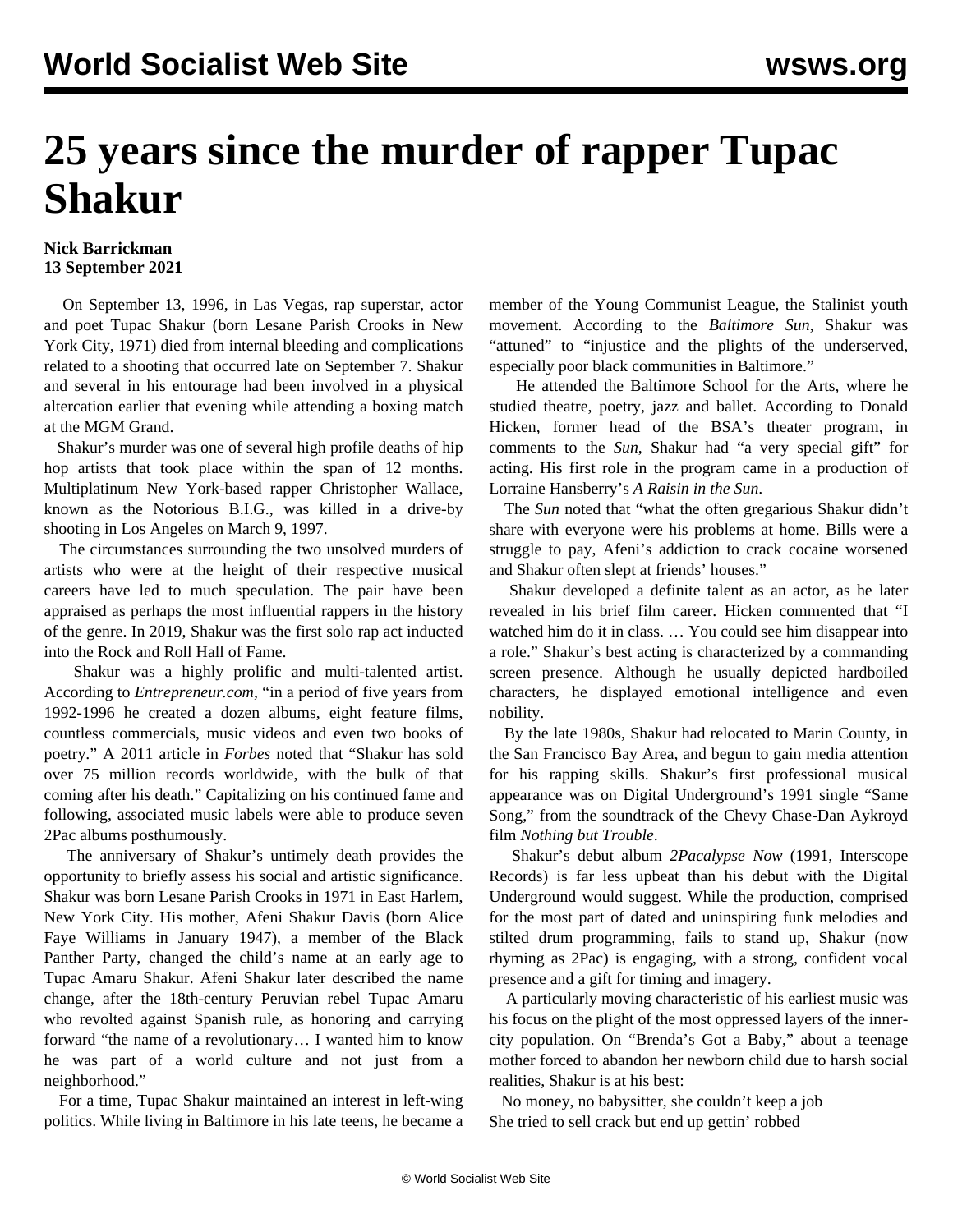## **25 years since the murder of rapper Tupac Shakur**

## **Nick Barrickman 13 September 2021**

 On September 13, 1996, in Las Vegas, rap superstar, actor and poet Tupac Shakur (born Lesane Parish Crooks in New York City, 1971) died from internal bleeding and complications related to a shooting that occurred late on September 7. Shakur and several in his entourage had been involved in a physical altercation earlier that evening while attending a boxing match at the MGM Grand.

 Shakur's murder was one of several high profile deaths of hip hop artists that took place within the span of 12 months. Multiplatinum New York-based rapper Christopher Wallace, known as the Notorious B.I.G., was killed in a drive-by shooting in Los Angeles on March 9, 1997.

 The circumstances surrounding the two unsolved murders of artists who were at the height of their respective musical careers have led to much speculation. The pair have been appraised as perhaps the most [influential](/en/articles/2015/06/01/kend-j01.html) rappers in the history of the genre. In 2019, Shakur was the first solo rap act inducted into the Rock and Roll Hall of Fame.

 Shakur was a highly prolific and multi-talented artist. According to *Entrepreneur.com*, "in a period of five years from 1992-1996 he created a dozen albums, eight feature films, countless commercials, music videos and even two books of poetry." A 2011 article in *Forbes* noted that "Shakur has sold over 75 million records worldwide, with the bulk of that coming after his death." Capitalizing on his continued fame and following, associated music labels were able to produce seven 2Pac albums posthumously.

 The anniversary of Shakur's untimely death provides the opportunity to briefly assess his social and artistic significance. Shakur was born Lesane Parish Crooks in 1971 in East Harlem, New York City. His mother, Afeni Shakur Davis (born Alice Faye Williams in January 1947), a member of the Black Panther Party, changed the child's name at an early age to Tupac Amaru Shakur. Afeni Shakur later described the name change, after the 18th-century Peruvian rebel Tupac Amaru who revolted against Spanish rule, as honoring and carrying forward "the name of a revolutionary… I wanted him to know he was part of a world culture and not just from a neighborhood."

 For a time, Tupac Shakur maintained an interest in left-wing politics. While living in Baltimore in his late teens, he became a member of the Young Communist League, the Stalinist youth movement. According to the *Baltimore Sun*, Shakur was "attuned" to "injustice and the plights of the underserved, especially poor black communities in Baltimore."

 He attended the Baltimore School for the Arts, where he studied theatre, poetry, jazz and ballet. According to Donald Hicken, former head of the BSA's theater program, in comments to the *Sun*, Shakur had "a very special gift" for acting. His first role in the program came in a production of Lorraine Hansberry's *A Raisin in the Sun*.

 The *Sun* noted that "what the often gregarious Shakur didn't share with everyone were his problems at home. Bills were a struggle to pay, Afeni's addiction to crack cocaine worsened and Shakur often slept at friends' houses."

 Shakur developed a definite talent as an actor, as he later revealed in his brief film career. Hicken commented that "I watched him do it in class. … You could see him disappear into a role." Shakur's best acting is characterized by a commanding screen presence. Although he usually depicted hardboiled characters, he displayed emotional intelligence and even nobility.

 By the late 1980s, Shakur had relocated to Marin County, in the San Francisco Bay Area, and begun to gain media attention for his rapping skills. Shakur's first professional musical appearance was on Digital Underground's 1991 single "Same Song," from the soundtrack of the Chevy Chase-Dan Aykroyd film *Nothing but Trouble*.

 Shakur's debut album *2Pacalypse Now* (1991, Interscope Records) is far less upbeat than his debut with the Digital Underground would suggest. While the production, comprised for the most part of dated and uninspiring funk melodies and stilted drum programming, fails to stand up, Shakur (now rhyming as 2Pac) is engaging, with a strong, confident vocal presence and a gift for timing and imagery.

 A particularly moving characteristic of his earliest music was his focus on the plight of the most oppressed layers of the innercity population. On "[Brenda's Got a Baby,](http://www.youtube.com/watch?v=NRWUs0KtB-I)" about a teenage mother forced to abandon her newborn child due to harsh social realities, Shakur is at his best:

 No money, no babysitter, she couldn't keep a job She tried to sell crack but end up gettin' robbed